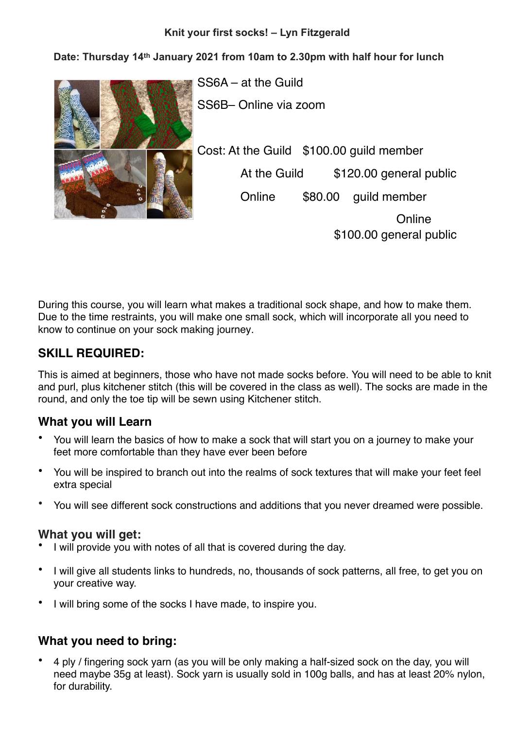#### **Knit your first socks! – Lyn Fitzgerald**

**Date: Thursday 14th January 2021 from 10am to 2.30pm with half hour for lunch** 



SS6A – at the Guild SS6B– Online via zoom Cost: At the Guild \$100.00 guild member At the Guild \$120.00 general public Online \$80.00 guild member

> **Online** \$100.00 general public

During this course, you will learn what makes a traditional sock shape, and how to make them. Due to the time restraints, you will make one small sock, which will incorporate all you need to know to continue on your sock making journey.

# **SKILL REQUIRED:**

This is aimed at beginners, those who have not made socks before. You will need to be able to knit and purl, plus kitchener stitch (this will be covered in the class as well). The socks are made in the round, and only the toe tip will be sewn using Kitchener stitch.

## **What you will Learn**

- You will learn the basics of how to make a sock that will start you on a journey to make your feet more comfortable than they have ever been before
- You will be inspired to branch out into the realms of sock textures that will make your feet feel extra special
- You will see different sock constructions and additions that you never dreamed were possible.

#### **What you will get:**

- I will provide you with notes of all that is covered during the day.
- I will give all students links to hundreds, no, thousands of sock patterns, all free, to get you on your creative way.
- I will bring some of the socks I have made, to inspire you.

## **What you need to bring:**

• 4 ply / fingering sock yarn (as you will be only making a half-sized sock on the day, you will need maybe 35g at least). Sock yarn is usually sold in 100g balls, and has at least 20% nylon, for durability.